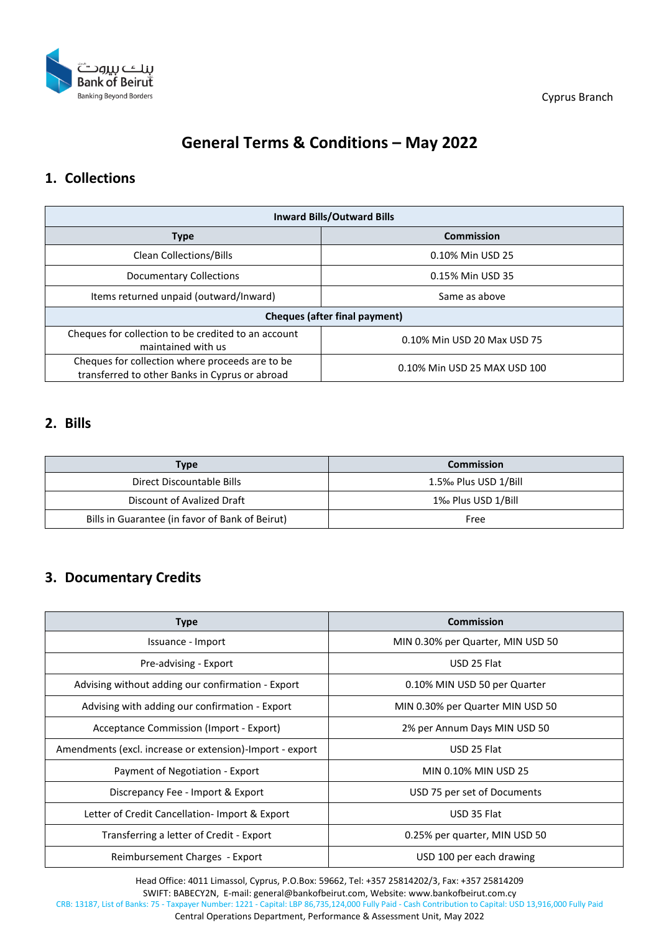

Cyprus Branch

# **General Terms & Conditions – May 2022**

#### **1. Collections**

| <b>Inward Bills/Outward Bills</b>                                                                 |                              |  |
|---------------------------------------------------------------------------------------------------|------------------------------|--|
| <b>Type</b>                                                                                       | <b>Commission</b>            |  |
| <b>Clean Collections/Bills</b>                                                                    | 0.10% Min USD 25             |  |
| Documentary Collections                                                                           | 0.15% Min USD 35             |  |
| Items returned unpaid (outward/Inward)                                                            | Same as above                |  |
| Cheques (after final payment)                                                                     |                              |  |
| Cheques for collection to be credited to an account<br>maintained with us                         | 0.10% Min USD 20 Max USD 75  |  |
| Cheques for collection where proceeds are to be<br>transferred to other Banks in Cyprus or abroad | 0.10% Min USD 25 MAX USD 100 |  |

#### **2. Bills**

| Type                                            | <b>Commission</b>    |
|-------------------------------------------------|----------------------|
| Direct Discountable Bills                       | 1.5‰ Plus USD 1/Bill |
| Discount of Avalized Draft                      | 1% Plus USD 1/Bill   |
| Bills in Guarantee (in favor of Bank of Beirut) | Free                 |

### **3. Documentary Credits**

| Type                                                     | <b>Commission</b>                 |
|----------------------------------------------------------|-----------------------------------|
| Issuance - Import                                        | MIN 0.30% per Quarter, MIN USD 50 |
| Pre-advising - Export                                    | USD 25 Flat                       |
| Advising without adding our confirmation - Export        | 0.10% MIN USD 50 per Quarter      |
| Advising with adding our confirmation - Export           | MIN 0.30% per Quarter MIN USD 50  |
| Acceptance Commission (Import - Export)                  | 2% per Annum Days MIN USD 50      |
| Amendments (excl. increase or extension)-Import - export | USD 25 Flat                       |
| Payment of Negotiation - Export                          | MIN 0.10% MIN USD 25              |
| Discrepancy Fee - Import & Export                        | USD 75 per set of Documents       |
| Letter of Credit Cancellation-Import & Export            | USD 35 Flat                       |
| Transferring a letter of Credit - Export                 | 0.25% per quarter, MIN USD 50     |
| Reimbursement Charges - Export                           | USD 100 per each drawing          |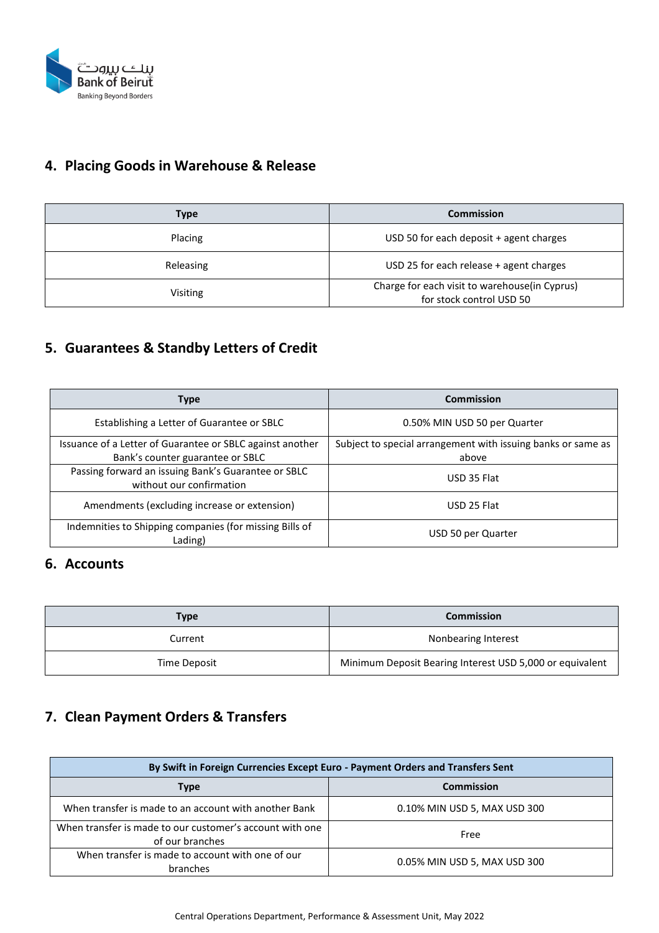

## **4. Placing Goods in Warehouse & Release**

| Type            | <b>Commission</b>                                                         |
|-----------------|---------------------------------------------------------------------------|
| Placing         | USD 50 for each deposit $+$ agent charges                                 |
| Releasing       | USD 25 for each release + agent charges                                   |
| <b>Visiting</b> | Charge for each visit to warehouse(in Cyprus)<br>for stock control USD 50 |

## **5. Guarantees & Standby Letters of Credit**

| <b>Type</b>                                                                     | <b>Commission</b>                                            |
|---------------------------------------------------------------------------------|--------------------------------------------------------------|
| Establishing a Letter of Guarantee or SBLC                                      | 0.50% MIN USD 50 per Quarter                                 |
| Issuance of a Letter of Guarantee or SBLC against another                       | Subject to special arrangement with issuing banks or same as |
| Bank's counter guarantee or SBLC                                                | above                                                        |
| Passing forward an issuing Bank's Guarantee or SBLC<br>without our confirmation | USD 35 Flat                                                  |
| Amendments (excluding increase or extension)                                    | USD 25 Flat                                                  |
| Indemnities to Shipping companies (for missing Bills of<br>Lading)              | USD 50 per Quarter                                           |

#### **6. Accounts**

| Type         | <b>Commission</b>                                        |
|--------------|----------------------------------------------------------|
| Current      | Nonbearing Interest                                      |
| Time Deposit | Minimum Deposit Bearing Interest USD 5,000 or equivalent |

## **7. Clean Payment Orders & Transfers**

| By Swift in Foreign Currencies Except Euro - Payment Orders and Transfers Sent |                              |
|--------------------------------------------------------------------------------|------------------------------|
| <b>Type</b>                                                                    | <b>Commission</b>            |
| When transfer is made to an account with another Bank                          | 0.10% MIN USD 5, MAX USD 300 |
| When transfer is made to our customer's account with one<br>of our branches    | Free                         |
| When transfer is made to account with one of our<br>branches                   | 0.05% MIN USD 5, MAX USD 300 |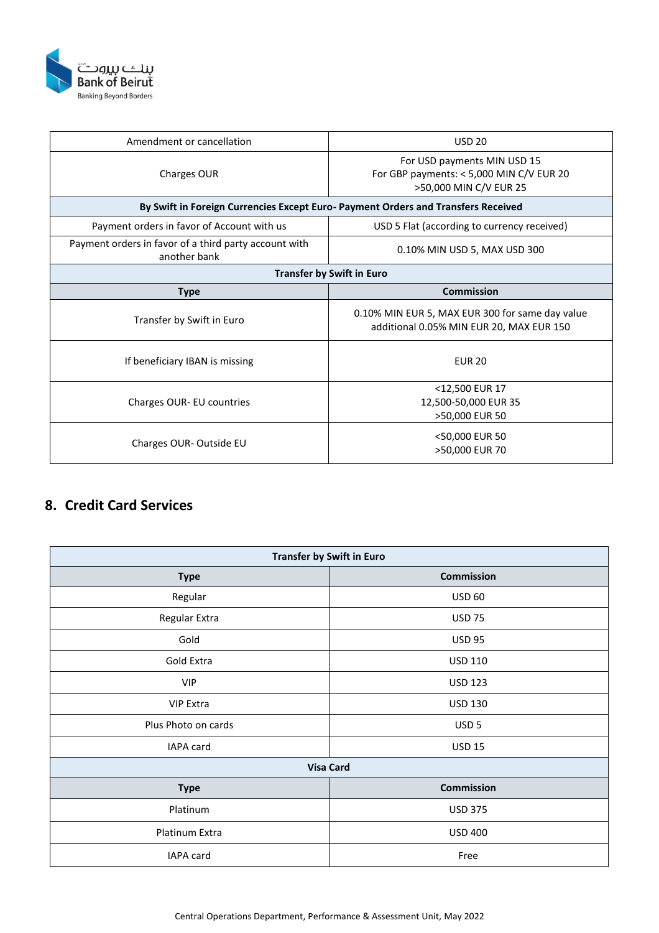

| Amendment or cancellation                                                         | <b>USD 20</b>                                                                                       |  |
|-----------------------------------------------------------------------------------|-----------------------------------------------------------------------------------------------------|--|
| Charges OUR                                                                       | For USD payments MIN USD 15<br>For GBP payments: $<$ 5,000 MIN C/V EUR 20<br>>50,000 MIN C/V EUR 25 |  |
| By Swift in Foreign Currencies Except Euro- Payment Orders and Transfers Received |                                                                                                     |  |
| Payment orders in favor of Account with us                                        | USD 5 Flat (according to currency received)                                                         |  |
| Payment orders in favor of a third party account with<br>another bank             | 0.10% MIN USD 5, MAX USD 300                                                                        |  |
| <b>Transfer by Swift in Euro</b>                                                  |                                                                                                     |  |
| <b>Type</b>                                                                       | Commission                                                                                          |  |
| Transfer by Swift in Euro                                                         | 0.10% MIN EUR 5, MAX EUR 300 for same day value<br>additional 0.05% MIN EUR 20, MAX EUR 150         |  |
| If beneficiary IBAN is missing                                                    | <b>EUR 20</b>                                                                                       |  |
| Charges OUR- EU countries                                                         | <12,500 EUR 17<br>12,500-50,000 EUR 35<br>>50,000 EUR 50                                            |  |
| Charges OUR-Outside EU                                                            | <50,000 EUR 50<br>>50,000 EUR 70                                                                    |  |

### **8. Credit Card Services**

| Transfer by Swift in Euro |                   |
|---------------------------|-------------------|
| <b>Type</b>               | <b>Commission</b> |
| Regular                   | <b>USD 60</b>     |
| Regular Extra             | <b>USD 75</b>     |
| Gold                      | <b>USD 95</b>     |
| Gold Extra                | <b>USD 110</b>    |
| <b>VIP</b>                | <b>USD 123</b>    |
| <b>VIP Extra</b>          | <b>USD 130</b>    |
| Plus Photo on cards       | USD <sub>5</sub>  |
| IAPA card                 | <b>USD 15</b>     |
| <b>Visa Card</b>          |                   |
| <b>Type</b>               | <b>Commission</b> |
| Platinum                  | <b>USD 375</b>    |
| Platinum Extra            | <b>USD 400</b>    |
| IAPA card                 | Free              |